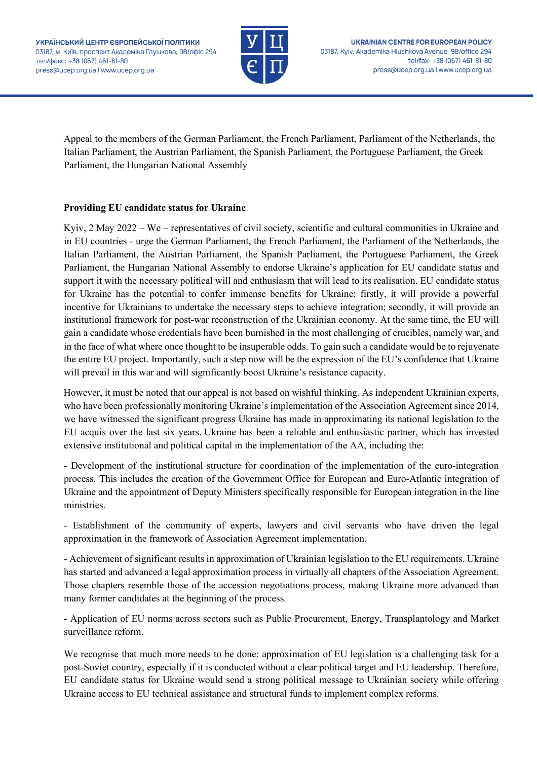

Appeal to the members of the German Parliament, the French Parliament, Parliament of the Netherlands, the Italian Parliament, the Austrian Parliament, the Spanish Parliament, the Portuguese Parliament, the Greek Parliament, the Hungarian National Assembly

## **Providing EU candidate status for Ukraine**

Kyiv, 2 May 2022 – We – representatives of civil society, scientific and cultural communities in Ukraine and in EU countries - urge the German Parliament, the French Parliament, the Parliament of the Netherlands, the Italian Parliament, the Austrian Parliament, the Spanish Parliament, the Portuguese Parliament, the Greek Parliament, the Hungarian National Assembly to endorse Ukraine's application for EU candidate status and support it with the necessary political will and enthusiasm that will lead to its realisation. EU candidate status for Ukraine has the potential to confer immense benefits for Ukraine: firstly, it will provide a powerful incentive for Ukrainians to undertake the necessary steps to achieve integration; secondly, it will provide an institutional framework for post-war reconstruction of the Ukrainian economy. At the same time, the EU will gain a candidate whose credentials have been burnished in the most challenging of crucibles, namely war, and in the face of what where once thought to be insuperable odds. To gain such a candidate would be to rejuvenate the entire EU project. Importantly, such a step now will be the expression of the EU's confidence that Ukraine will prevail in this war and will significantly boost Ukraine's resistance capacity.

However, it must be noted that our appeal is not based on wishful thinking. As independent Ukrainian experts, who have been professionally monitoring Ukraine's implementation of the Association Agreement since 2014, we have witnessed the significant progress Ukraine has made in approximating its national legislation to the EU acquis over the last six years. Ukraine has been a reliable and enthusiastic partner, which has invested extensive institutional and political capital in the implementation of the AA, including the:

- Development of the institutional structure for coordination of the implementation of the euro-integration process. This includes the creation of the Government Office for European and Euro-Atlantic integration of Ukraine and the appointment of Deputy Ministers specifically responsible for European integration in the line ministries.

- Establishment of the community of experts, lawyers and civil servants who have driven the legal approximation in the framework of Association Agreement implementation.

- Achievement of significant results in approximation of Ukrainian legislation to the EU requirements. Ukraine has started and advanced a legal approximation process in virtually all chapters of the Association Agreement. Those chapters resemble those of the accession negotiations process, making Ukraine more advanced than many former candidates at the beginning of the process.

- Application of EU norms across sectors such as Public Procurement, Energy, Transplantology and Market surveillance reform.

We recognise that much more needs to be done: approximation of EU legislation is a challenging task for a post-Soviet country, especially if it is conducted without a clear political target and EU leadership. Therefore, EU candidate status for Ukraine would send a strong political message to Ukrainian society while offering Ukraine access to EU technical assistance and structural funds to implement complex reforms.